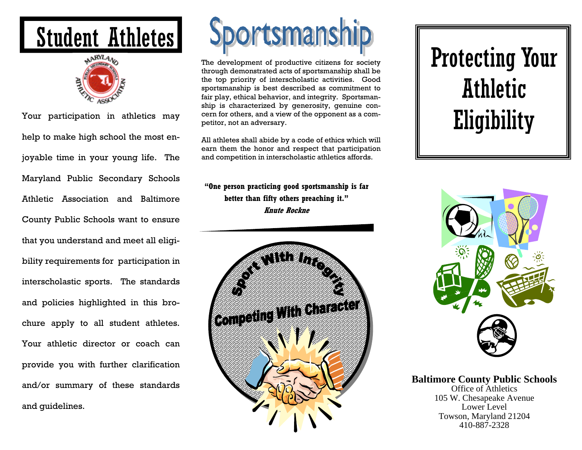## Student Athletes



Your participation in athletics may help to make high school the most enjoyable time in your young life. The Maryland Public Secondary Schools Athletic Association and Baltimore County Public Schools want to ensure that you understand and meet all eligibility requirements for participation in interscholastic sports. The standards and policies highlighted in this brochure apply to all student athletes. Your athletic director or coach can provide you with further clarification and/or summary of these standards and guidelines.



The development of productive citizens for society through demonstrated acts of sportsmanship shall be the top priority of interscholastic activities. Good sportsmanship is best described as commitment to fair play, ethical behavior, and integrity. Sportsmanship is characterized by generosity, genuine concern for others, and a view of the opponent as a competitor, not an adversary.

All athletes shall abide by a code of ethics which will earn them the honor and respect that participation and competition in interscholastic athletics affords.

**"One person practicing good sportsmanship is far better than fifty others preaching it." Knute Rockne**



# Protecting Your Athletic Eligibility



**Baltimore County Public Schools**  Office of Athletics

105 W. Chesapeake Avenue Lower Level Towson, Maryland 21204 410-887-2328